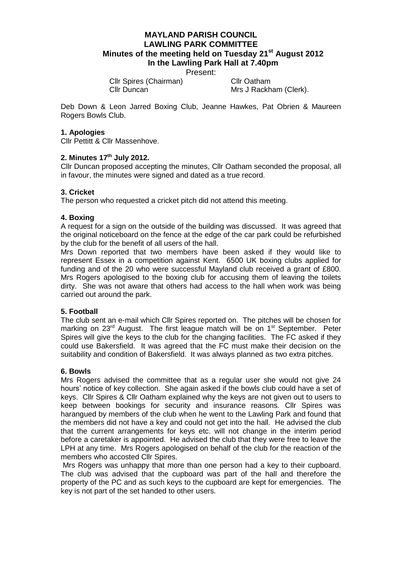# **MAYLAND PARISH COUNCIL LAWLING PARK COMMITTEE Minutes of the meeting held on Tuesday 21st August 2012 In the Lawling Park Hall at 7.40pm**

Present:

Cllr Spires (Chairman) Cllr Oatham

Cllr Duncan Mrs J Rackham (Clerk).

Deb Down & Leon Jarred Boxing Club, Jeanne Hawkes, Pat Obrien & Maureen Rogers Bowls Club.

## **1. Apologies**

Cllr Pettitt & Cllr Massenhove.

## **2. Minutes 17th July 2012.**

Cllr Duncan proposed accepting the minutes, Cllr Oatham seconded the proposal, all in favour, the minutes were signed and dated as a true record.

## **3. Cricket**

The person who requested a cricket pitch did not attend this meeting.

## **4. Boxing**

A request for a sign on the outside of the building was discussed. It was agreed that the original noticeboard on the fence at the edge of the car park could be refurbished by the club for the benefit of all users of the hall.

Mrs Down reported that two members have been asked if they would like to represent Essex in a competition against Kent. 6500 UK boxing clubs applied for funding and of the 20 who were successful Mayland club received a grant of £800. Mrs Rogers apologised to the boxing club for accusing them of leaving the toilets dirty. She was not aware that others had access to the hall when work was being carried out around the park.

#### **5. Football**

The club sent an e-mail which Cllr Spires reported on. The pitches will be chosen for marking on  $23<sup>rd</sup>$  August. The first league match will be on  $1<sup>st</sup>$  September. Peter Spires will give the keys to the club for the changing facilities. The FC asked if they could use Bakersfield. It was agreed that the FC must make their decision on the suitability and condition of Bakersfield. It was always planned as two extra pitches.

#### **6. Bowls**

Mrs Rogers advised the committee that as a regular user she would not give 24 hours' notice of key collection. She again asked if the bowls club could have a set of keys. Cllr Spires & Cllr Oatham explained why the keys are not given out to users to keep between bookings for security and insurance reasons. Cllr Spires was harangued by members of the club when he went to the Lawling Park and found that the members did not have a key and could not get into the hall. He advised the club that the current arrangements for keys etc. will not change in the interim period before a caretaker is appointed. He advised the club that they were free to leave the LPH at any time. Mrs Rogers apologised on behalf of the club for the reaction of the members who accosted Cllr Spires.

Mrs Rogers was unhappy that more than one person had a key to their cupboard. The club was advised that the cupboard was part of the hall and therefore the property of the PC and as such keys to the cupboard are kept for emergencies. The key is not part of the set handed to other users.